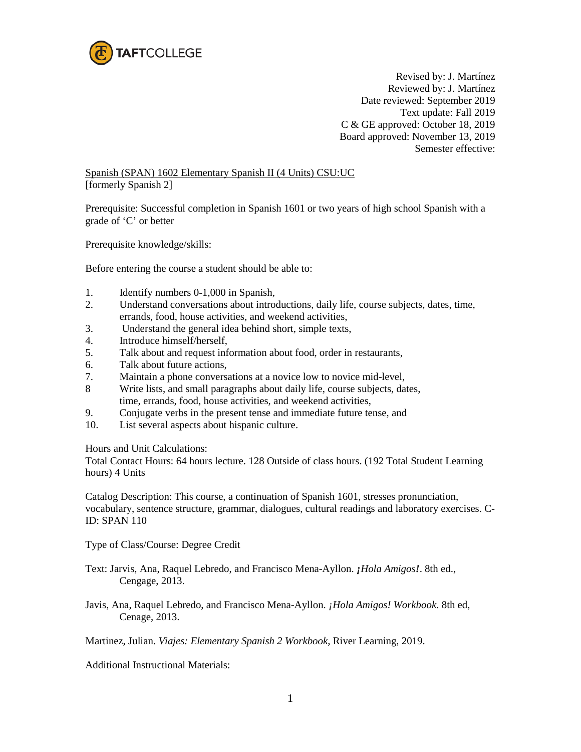

Revised by: J. Martínez Reviewed by: J. Martínez Date reviewed: September 2019 Text update: Fall 2019 C & GE approved: October 18, 2019 Board approved: November 13, 2019 Semester effective:

Spanish (SPAN) 1602 Elementary Spanish II (4 Units) CSU:UC [formerly Spanish 2]

Prerequisite: Successful completion in Spanish 1601 or two years of high school Spanish with a grade of 'C' or better

Prerequisite knowledge/skills:

Before entering the course a student should be able to:

- 1. Identify numbers 0-1,000 in Spanish,
- 2. Understand conversations about introductions, daily life, course subjects, dates, time, errands, food, house activities, and weekend activities,
- 3. Understand the general idea behind short, simple texts,
- 4. Introduce himself/herself,
- 5. Talk about and request information about food, order in restaurants,
- 6. Talk about future actions,
- 7. Maintain a phone conversations at a novice low to novice mid-level,
- 8 Write lists, and small paragraphs about daily life, course subjects, dates, time, errands, food, house activities, and weekend activities,
- 9. Conjugate verbs in the present tense and immediate future tense, and
- 10. List several aspects about hispanic culture.

Hours and Unit Calculations:

Total Contact Hours: 64 hours lecture. 128 Outside of class hours. (192 Total Student Learning hours) 4 Units

Catalog Description: This course, a continuation of Spanish 1601, stresses pronunciation, vocabulary, sentence structure, grammar, dialogues, cultural readings and laboratory exercises. C-ID: SPAN 110

Type of Class/Course: Degree Credit

Text: Jarvis, Ana, Raquel Lebredo, and Francisco Mena-Ayllon. *¡Hola Amigos!*. 8th ed., Cengage, 2013.

Javis, Ana, Raquel Lebredo, and Francisco Mena-Ayllon. *¡Hola Amigos! Workbook*. 8th ed, Cenage, 2013.

Martinez, Julian. *Viajes: Elementary Spanish 2 Workbook*, River Learning, 2019.

Additional Instructional Materials: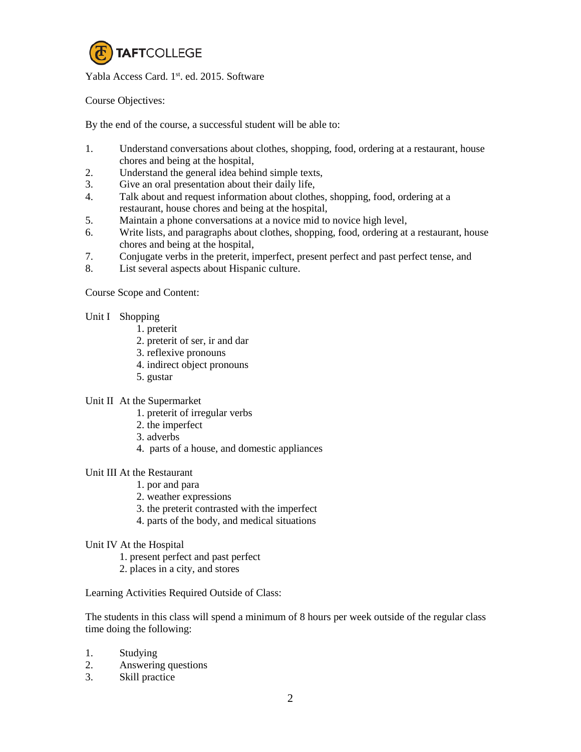

Yabla Access Card. 1<sup>st</sup>. ed. 2015. Software

Course Objectives:

By the end of the course, a successful student will be able to:

- 1. Understand conversations about clothes, shopping, food, ordering at a restaurant, house chores and being at the hospital,
- 2. Understand the general idea behind simple texts,
- 3. Give an oral presentation about their daily life,
- 4. Talk about and request information about clothes, shopping, food, ordering at a restaurant, house chores and being at the hospital,
- 5. Maintain a phone conversations at a novice mid to novice high level,
- 6. Write lists, and paragraphs about clothes, shopping, food, ordering at a restaurant, house chores and being at the hospital,
- 7. Conjugate verbs in the preterit, imperfect, present perfect and past perfect tense, and
- 8. List several aspects about Hispanic culture.

Course Scope and Content:

- Unit I Shopping
	- 1. preterit
	- 2. preterit of ser, ir and dar
	- 3. reflexive pronouns
	- 4. indirect object pronouns
	- 5. gustar
- Unit II At the Supermarket
	- 1. preterit of irregular verbs
	- 2. the imperfect
	- 3. adverbs
	- 4. parts of a house, and domestic appliances

Unit III At the Restaurant

- 1. por and para
- 2. weather expressions
- 3. the preterit contrasted with the imperfect
- 4. parts of the body, and medical situations
- Unit IV At the Hospital
	- 1. present perfect and past perfect
	- 2. places in a city, and stores

Learning Activities Required Outside of Class:

The students in this class will spend a minimum of 8 hours per week outside of the regular class time doing the following:

- 1. Studying
- 2. Answering questions
- 3. Skill practice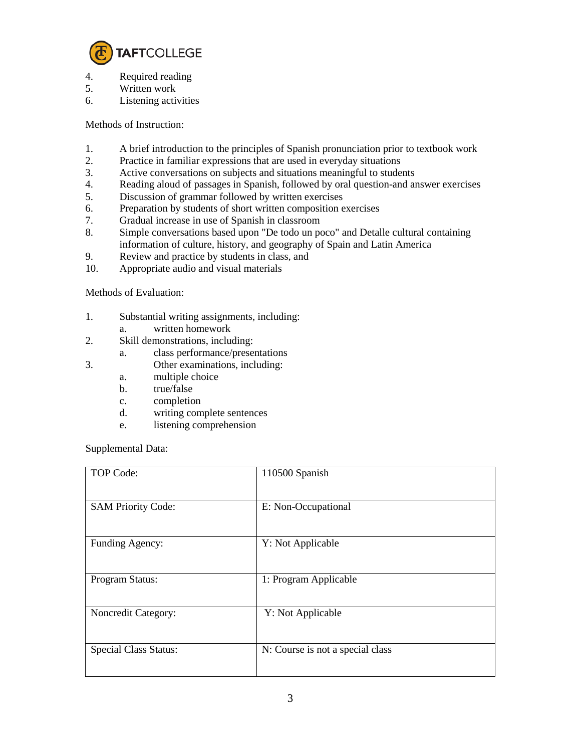

- 4. Required reading
- 5. Written work
- 6. Listening activities

Methods of Instruction:

- 1. A brief introduction to the principles of Spanish pronunciation prior to textbook work
- 2. Practice in familiar expressions that are used in everyday situations
- 3. Active conversations on subjects and situations meaningful to students
- 4. Reading aloud of passages in Spanish, followed by oral question-and answer exercises
- 5. Discussion of grammar followed by written exercises
- 6. Preparation by students of short written composition exercises
- 7. Gradual increase in use of Spanish in classroom
- 8. Simple conversations based upon "De todo un poco" and Detalle cultural containing information of culture, history, and geography of Spain and Latin America
- 9. Review and practice by students in class, and
- 10. Appropriate audio and visual materials

Methods of Evaluation:

- 1. Substantial writing assignments, including:
	- a. written homework
- 2. Skill demonstrations, including:
	- a. class performance/presentations
- 3. Other examinations, including:
	- a. multiple choice
	- b. true/false
	- c. completion
	- d. writing complete sentences
	- e. listening comprehension

Supplemental Data:

| TOP Code:                    | 110500 Spanish                   |
|------------------------------|----------------------------------|
| <b>SAM Priority Code:</b>    | E: Non-Occupational              |
| Funding Agency:              | Y: Not Applicable                |
| Program Status:              | 1: Program Applicable            |
| Noncredit Category:          | Y: Not Applicable                |
| <b>Special Class Status:</b> | N: Course is not a special class |